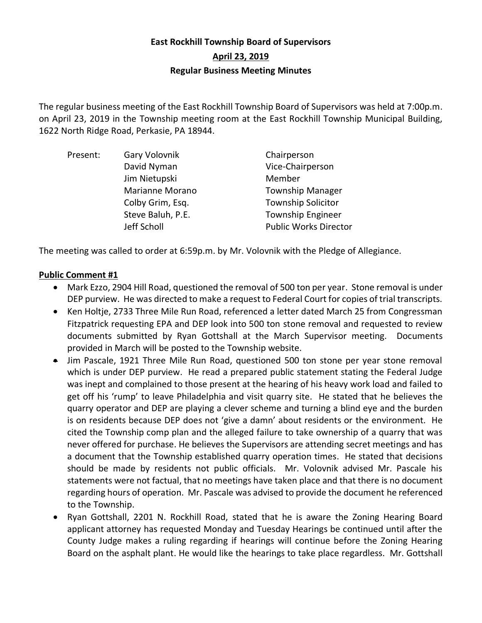# **East Rockhill Township Board of Supervisors April 23, 2019 Regular Business Meeting Minutes**

The regular business meeting of the East Rockhill Township Board of Supervisors was held at 7:00p.m. on April 23, 2019 in the Township meeting room at the East Rockhill Township Municipal Building, 1622 North Ridge Road, Perkasie, PA 18944.

| Present: | Gary Volovnik     | Chairperson                  |
|----------|-------------------|------------------------------|
|          | David Nyman       | Vice-Chairperson             |
|          | Jim Nietupski     | Member                       |
|          | Marianne Morano   | <b>Township Manager</b>      |
|          | Colby Grim, Esq.  | <b>Township Solicitor</b>    |
|          | Steve Baluh, P.E. | <b>Township Engineer</b>     |
|          | Jeff Scholl       | <b>Public Works Director</b> |

The meeting was called to order at 6:59p.m. by Mr. Volovnik with the Pledge of Allegiance.

# **Public Comment #1**

- Mark Ezzo, 2904 Hill Road, questioned the removal of 500 ton per year. Stone removal is under DEP purview. He was directed to make a request to Federal Court for copies of trial transcripts.
- Ken Holtje, 2733 Three Mile Run Road, referenced a letter dated March 25 from Congressman Fitzpatrick requesting EPA and DEP look into 500 ton stone removal and requested to review documents submitted by Ryan Gottshall at the March Supervisor meeting. Documents provided in March will be posted to the Township website.
- Jim Pascale, 1921 Three Mile Run Road, questioned 500 ton stone per year stone removal which is under DEP purview. He read a prepared public statement stating the Federal Judge was inept and complained to those present at the hearing of his heavy work load and failed to get off his 'rump' to leave Philadelphia and visit quarry site. He stated that he believes the quarry operator and DEP are playing a clever scheme and turning a blind eye and the burden is on residents because DEP does not 'give a damn' about residents or the environment. He cited the Township comp plan and the alleged failure to take ownership of a quarry that was never offered for purchase. He believes the Supervisors are attending secret meetings and has a document that the Township established quarry operation times. He stated that decisions should be made by residents not public officials. Mr. Volovnik advised Mr. Pascale his statements were not factual, that no meetings have taken place and that there is no document regarding hours of operation. Mr. Pascale was advised to provide the document he referenced to the Township.
- Ryan Gottshall, 2201 N. Rockhill Road, stated that he is aware the Zoning Hearing Board applicant attorney has requested Monday and Tuesday Hearings be continued until after the County Judge makes a ruling regarding if hearings will continue before the Zoning Hearing Board on the asphalt plant. He would like the hearings to take place regardless. Mr. Gottshall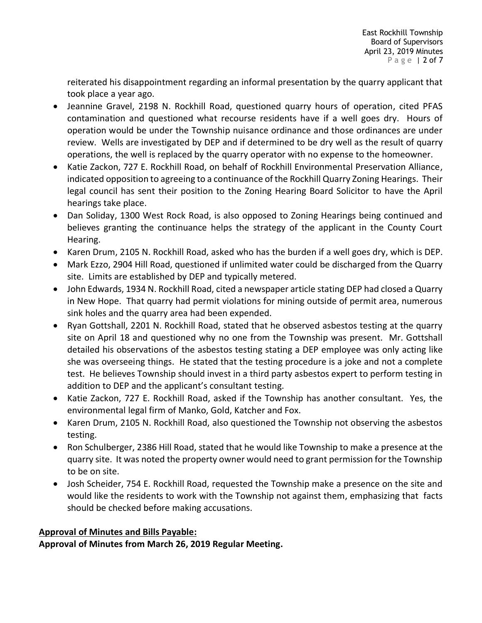reiterated his disappointment regarding an informal presentation by the quarry applicant that took place a year ago.

- Jeannine Gravel, 2198 N. Rockhill Road, questioned quarry hours of operation, cited PFAS contamination and questioned what recourse residents have if a well goes dry. Hours of operation would be under the Township nuisance ordinance and those ordinances are under review. Wells are investigated by DEP and if determined to be dry well as the result of quarry operations, the well is replaced by the quarry operator with no expense to the homeowner.
- Katie Zackon, 727 E. Rockhill Road, on behalf of Rockhill Environmental Preservation Alliance, indicated opposition to agreeing to a continuance of the Rockhill Quarry Zoning Hearings. Their legal council has sent their position to the Zoning Hearing Board Solicitor to have the April hearings take place.
- Dan Soliday, 1300 West Rock Road, is also opposed to Zoning Hearings being continued and believes granting the continuance helps the strategy of the applicant in the County Court Hearing.
- Karen Drum, 2105 N. Rockhill Road, asked who has the burden if a well goes dry, which is DEP.
- Mark Ezzo, 2904 Hill Road, questioned if unlimited water could be discharged from the Quarry site. Limits are established by DEP and typically metered.
- John Edwards, 1934 N. Rockhill Road, cited a newspaper article stating DEP had closed a Quarry in New Hope. That quarry had permit violations for mining outside of permit area, numerous sink holes and the quarry area had been expended.
- Ryan Gottshall, 2201 N. Rockhill Road, stated that he observed asbestos testing at the quarry site on April 18 and questioned why no one from the Township was present. Mr. Gottshall detailed his observations of the asbestos testing stating a DEP employee was only acting like she was overseeing things. He stated that the testing procedure is a joke and not a complete test. He believes Township should invest in a third party asbestos expert to perform testing in addition to DEP and the applicant's consultant testing.
- Katie Zackon, 727 E. Rockhill Road, asked if the Township has another consultant. Yes, the environmental legal firm of Manko, Gold, Katcher and Fox.
- Karen Drum, 2105 N. Rockhill Road, also questioned the Township not observing the asbestos testing.
- Ron Schulberger, 2386 Hill Road, stated that he would like Township to make a presence at the quarry site. It was noted the property owner would need to grant permission for the Township to be on site.
- Josh Scheider, 754 E. Rockhill Road, requested the Township make a presence on the site and would like the residents to work with the Township not against them, emphasizing that facts should be checked before making accusations.

# **Approval of Minutes and Bills Payable:**

**Approval of Minutes from March 26, 2019 Regular Meeting.**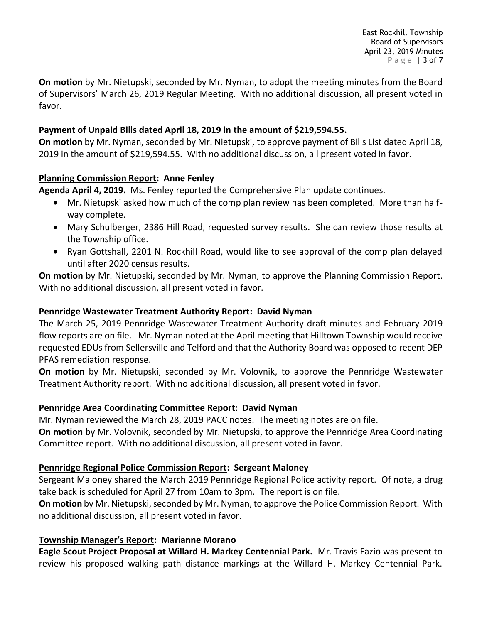East Rockhill Township Board of Supervisors April 23, 2019 Minutes P a g e | 3 of 7

**On motion** by Mr. Nietupski, seconded by Mr. Nyman, to adopt the meeting minutes from the Board of Supervisors' March 26, 2019 Regular Meeting. With no additional discussion, all present voted in favor.

# **Payment of Unpaid Bills dated April 18, 2019 in the amount of \$219,594.55.**

**On motion** by Mr. Nyman, seconded by Mr. Nietupski, to approve payment of Bills List dated April 18, 2019 in the amount of \$219,594.55. With no additional discussion, all present voted in favor.

# **Planning Commission Report: Anne Fenley**

**Agenda April 4, 2019.** Ms. Fenley reported the Comprehensive Plan update continues.

- Mr. Nietupski asked how much of the comp plan review has been completed. More than halfway complete.
- Mary Schulberger, 2386 Hill Road, requested survey results. She can review those results at the Township office.
- Ryan Gottshall, 2201 N. Rockhill Road, would like to see approval of the comp plan delayed until after 2020 census results.

**On motion** by Mr. Nietupski, seconded by Mr. Nyman, to approve the Planning Commission Report. With no additional discussion, all present voted in favor.

# **Pennridge Wastewater Treatment Authority Report: David Nyman**

The March 25, 2019 Pennridge Wastewater Treatment Authority draft minutes and February 2019 flow reports are on file. Mr. Nyman noted at the April meeting that Hilltown Township would receive requested EDUs from Sellersville and Telford and that the Authority Board was opposed to recent DEP PFAS remediation response.

**On motion** by Mr. Nietupski, seconded by Mr. Volovnik, to approve the Pennridge Wastewater Treatment Authority report. With no additional discussion, all present voted in favor.

# **Pennridge Area Coordinating Committee Report: David Nyman**

Mr. Nyman reviewed the March 28, 2019 PACC notes. The meeting notes are on file.

**On motion** by Mr. Volovnik, seconded by Mr. Nietupski, to approve the Pennridge Area Coordinating Committee report. With no additional discussion, all present voted in favor.

# **Pennridge Regional Police Commission Report: Sergeant Maloney**

Sergeant Maloney shared the March 2019 Pennridge Regional Police activity report. Of note, a drug take back is scheduled for April 27 from 10am to 3pm. The report is on file.

**On motion** by Mr. Nietupski, seconded by Mr. Nyman, to approve the Police Commission Report. With no additional discussion, all present voted in favor.

#### **Township Manager's Report: Marianne Morano**

**Eagle Scout Project Proposal at Willard H. Markey Centennial Park.** Mr. Travis Fazio was present to review his proposed walking path distance markings at the Willard H. Markey Centennial Park.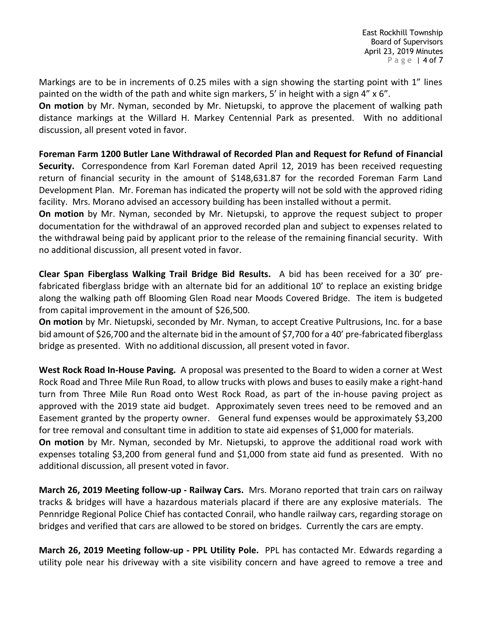Markings are to be in increments of 0.25 miles with a sign showing the starting point with 1" lines painted on the width of the path and white sign markers, 5' in height with a sign 4" x 6".

**On motion** by Mr. Nyman, seconded by Mr. Nietupski, to approve the placement of walking path distance markings at the Willard H. Markey Centennial Park as presented. With no additional discussion, all present voted in favor.

**Foreman Farm 1200 Butler Lane Withdrawal of Recorded Plan and Request for Refund of Financial Security.** Correspondence from Karl Foreman dated April 12, 2019 has been received requesting return of financial security in the amount of \$148,631.87 for the recorded Foreman Farm Land Development Plan. Mr. Foreman has indicated the property will not be sold with the approved riding facility. Mrs. Morano advised an accessory building has been installed without a permit.

**On motion** by Mr. Nyman, seconded by Mr. Nietupski, to approve the request subject to proper documentation for the withdrawal of an approved recorded plan and subject to expenses related to the withdrawal being paid by applicant prior to the release of the remaining financial security. With no additional discussion, all present voted in favor.

**Clear Span Fiberglass Walking Trail Bridge Bid Results.** A bid has been received for a 30' prefabricated fiberglass bridge with an alternate bid for an additional 10' to replace an existing bridge along the walking path off Blooming Glen Road near Moods Covered Bridge. The item is budgeted from capital improvement in the amount of \$26,500.

**On motion** by Mr. Nietupski, seconded by Mr. Nyman, to accept Creative Pultrusions, Inc. for a base bid amount of \$26,700 and the alternate bid in the amount of \$7,700 for a 40' pre-fabricated fiberglass bridge as presented. With no additional discussion, all present voted in favor.

**West Rock Road In-House Paving.** A proposal was presented to the Board to widen a corner at West Rock Road and Three Mile Run Road, to allow trucks with plows and buses to easily make a right-hand turn from Three Mile Run Road onto West Rock Road, as part of the in-house paving project as approved with the 2019 state aid budget. Approximately seven trees need to be removed and an Easement granted by the property owner. General fund expenses would be approximately \$3,200 for tree removal and consultant time in addition to state aid expenses of \$1,000 for materials.

**On motion** by Mr. Nyman, seconded by Mr. Nietupski, to approve the additional road work with expenses totaling \$3,200 from general fund and \$1,000 from state aid fund as presented. With no additional discussion, all present voted in favor.

**March 26, 2019 Meeting follow-up - Railway Cars.** Mrs. Morano reported that train cars on railway tracks & bridges will have a hazardous materials placard if there are any explosive materials. The Pennridge Regional Police Chief has contacted Conrail, who handle railway cars, regarding storage on bridges and verified that cars are allowed to be stored on bridges. Currently the cars are empty.

**March 26, 2019 Meeting follow-up - PPL Utility Pole.** PPL has contacted Mr. Edwards regarding a utility pole near his driveway with a site visibility concern and have agreed to remove a tree and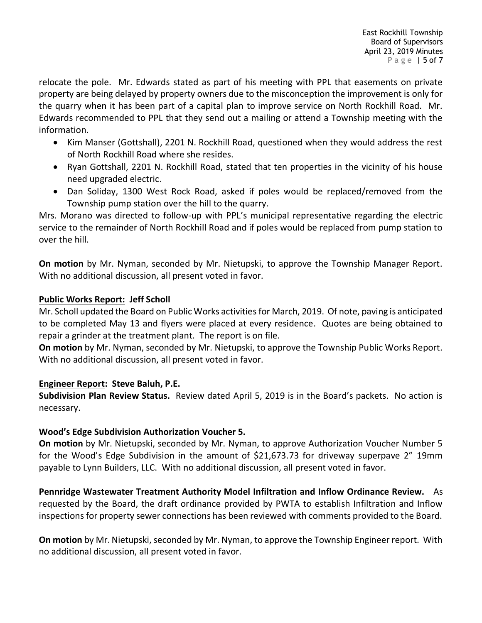relocate the pole. Mr. Edwards stated as part of his meeting with PPL that easements on private property are being delayed by property owners due to the misconception the improvement is only for the quarry when it has been part of a capital plan to improve service on North Rockhill Road. Mr. Edwards recommended to PPL that they send out a mailing or attend a Township meeting with the information.

- Kim Manser (Gottshall), 2201 N. Rockhill Road, questioned when they would address the rest of North Rockhill Road where she resides.
- Ryan Gottshall, 2201 N. Rockhill Road, stated that ten properties in the vicinity of his house need upgraded electric.
- Dan Soliday, 1300 West Rock Road, asked if poles would be replaced/removed from the Township pump station over the hill to the quarry.

Mrs. Morano was directed to follow-up with PPL's municipal representative regarding the electric service to the remainder of North Rockhill Road and if poles would be replaced from pump station to over the hill.

**On motion** by Mr. Nyman, seconded by Mr. Nietupski, to approve the Township Manager Report. With no additional discussion, all present voted in favor.

# **Public Works Report: Jeff Scholl**

Mr. Scholl updated the Board on Public Works activities for March, 2019. Of note, paving is anticipated to be completed May 13 and flyers were placed at every residence. Quotes are being obtained to repair a grinder at the treatment plant. The report is on file.

**On motion** by Mr. Nyman, seconded by Mr. Nietupski, to approve the Township Public Works Report. With no additional discussion, all present voted in favor.

# **Engineer Report: Steve Baluh, P.E.**

**Subdivision Plan Review Status.** Review dated April 5, 2019 is in the Board's packets. No action is necessary.

# **Wood's Edge Subdivision Authorization Voucher 5.**

**On motion** by Mr. Nietupski, seconded by Mr. Nyman, to approve Authorization Voucher Number 5 for the Wood's Edge Subdivision in the amount of \$21,673.73 for driveway superpave 2" 19mm payable to Lynn Builders, LLC. With no additional discussion, all present voted in favor.

**Pennridge Wastewater Treatment Authority Model Infiltration and Inflow Ordinance Review.** As requested by the Board, the draft ordinance provided by PWTA to establish Infiltration and Inflow inspections for property sewer connections has been reviewed with comments provided to the Board.

**On motion** by Mr. Nietupski, seconded by Mr. Nyman, to approve the Township Engineer report. With no additional discussion, all present voted in favor.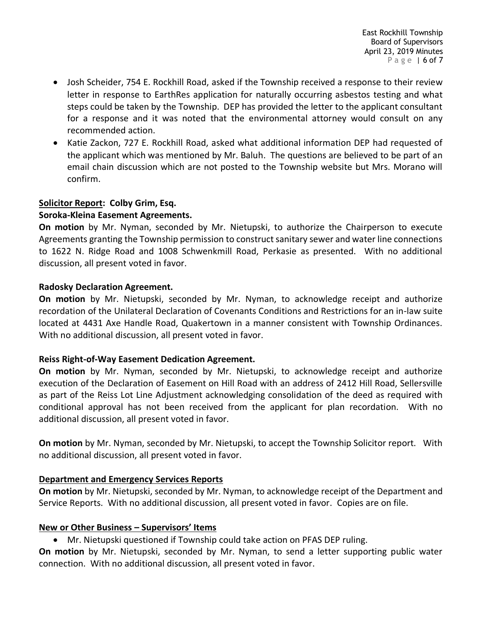- Josh Scheider, 754 E. Rockhill Road, asked if the Township received a response to their review letter in response to EarthRes application for naturally occurring asbestos testing and what steps could be taken by the Township. DEP has provided the letter to the applicant consultant for a response and it was noted that the environmental attorney would consult on any recommended action.
- Katie Zackon, 727 E. Rockhill Road, asked what additional information DEP had requested of the applicant which was mentioned by Mr. Baluh. The questions are believed to be part of an email chain discussion which are not posted to the Township website but Mrs. Morano will confirm.

# **Solicitor Report: Colby Grim, Esq.**

#### **Soroka-Kleina Easement Agreements.**

**On motion** by Mr. Nyman, seconded by Mr. Nietupski, to authorize the Chairperson to execute Agreements granting the Township permission to construct sanitary sewer and water line connections to 1622 N. Ridge Road and 1008 Schwenkmill Road, Perkasie as presented. With no additional discussion, all present voted in favor.

#### **Radosky Declaration Agreement.**

**On motion** by Mr. Nietupski, seconded by Mr. Nyman, to acknowledge receipt and authorize recordation of the Unilateral Declaration of Covenants Conditions and Restrictions for an in-law suite located at 4431 Axe Handle Road, Quakertown in a manner consistent with Township Ordinances. With no additional discussion, all present voted in favor.

#### **Reiss Right-of-Way Easement Dedication Agreement.**

**On motion** by Mr. Nyman, seconded by Mr. Nietupski, to acknowledge receipt and authorize execution of the Declaration of Easement on Hill Road with an address of 2412 Hill Road, Sellersville as part of the Reiss Lot Line Adjustment acknowledging consolidation of the deed as required with conditional approval has not been received from the applicant for plan recordation. With no additional discussion, all present voted in favor.

**On motion** by Mr. Nyman, seconded by Mr. Nietupski, to accept the Township Solicitor report. With no additional discussion, all present voted in favor.

#### **Department and Emergency Services Reports**

**On motion** by Mr. Nietupski, seconded by Mr. Nyman, to acknowledge receipt of the Department and Service Reports. With no additional discussion, all present voted in favor. Copies are on file.

#### **New or Other Business – Supervisors' Items**

• Mr. Nietupski questioned if Township could take action on PFAS DEP ruling.

**On motion** by Mr. Nietupski, seconded by Mr. Nyman, to send a letter supporting public water connection. With no additional discussion, all present voted in favor.